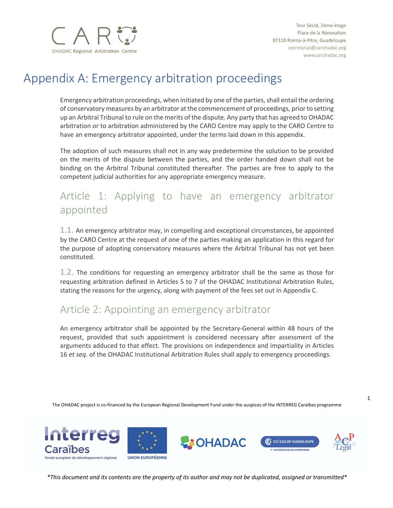

# Appendix A: Emergency arbitration proceedings

Emergency arbitration proceedings, when initiated by one of the parties, shall entail the ordering of conservatory measures by an arbitrator at the commencement of proceedings, prior to setting up an Arbitral Tribunal to rule on the merits of the dispute. Any party that has agreed to OHADAC arbitration or to arbitration administered by the CARO Centre may apply to the CARO Centre to have an emergency arbitrator appointed, under the terms laid down in this appendix.

The adoption of such measures shall not in any way predetermine the solution to be provided on the merits of the dispute between the parties, and the order handed down shall not be binding on the Arbitral Tribunal constituted thereafter. The parties are free to apply to the competent judicial authorities for any appropriate emergency measure.

## Article 1: Applying to have an emergency arbitrator appointed

1.1. An emergency arbitrator may, in compelling and exceptional circumstances, be appointed by the CARO Centre at the request of one of the parties making an application in this regard for the purpose of adopting conservatory measures where the Arbitral Tribunal has not yet been constituted.

1.2. The conditions for requesting an emergency arbitrator shall be the same as those for requesting arbitration defined in Articles 5 to 7 of the OHADAC Institutional Arbitration Rules, stating the reasons for the urgency, along with payment of the fees set out in Appendix C.

#### Article 2: Appointing an emergency arbitrator

An emergency arbitrator shall be appointed by the Secretary-General within 48 hours of the request, provided that such appointment is considered necessary after assessment of the arguments adduced to that effect. The provisions on independence and impartiality in Articles 16 *et seq.* of the OHADAC Institutional Arbitration Rules shall apply to emergency proceedings.

The OHADAC project is co-financed by the European Regional Development Fund under the auspices of the INTERREG Caraïbes programme



*\*This document and its contents are the property of its author and may not be duplicated, assigned or transmitted\**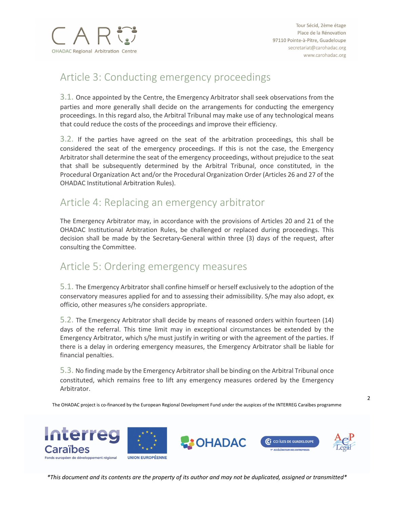

#### Article 3: Conducting emergency proceedings

3.1. Once appointed by the Centre, the Emergency Arbitrator shall seek observations from the parties and more generally shall decide on the arrangements for conducting the emergency proceedings. In this regard also, the Arbitral Tribunal may make use of any technological means that could reduce the costs of the proceedings and improve their efficiency.

3.2. If the parties have agreed on the seat of the arbitration proceedings, this shall be considered the seat of the emergency proceedings. If this is not the case, the Emergency Arbitrator shall determine the seat of the emergency proceedings, without prejudice to the seat that shall be subsequently determined by the Arbitral Tribunal, once constituted, in the Procedural Organization Act and/or the Procedural Organization Order (Articles 26 and 27 of the OHADAC Institutional Arbitration Rules).

#### Article 4: Replacing an emergency arbitrator

The Emergency Arbitrator may, in accordance with the provisions of Articles 20 and 21 of the OHADAC Institutional Arbitration Rules, be challenged or replaced during proceedings. This decision shall be made by the Secretary-General within three (3) days of the request, after consulting the Committee.

### Article 5: Ordering emergency measures

5.1. The Emergency Arbitrator shall confine himself or herself exclusively to the adoption of the conservatory measures applied for and to assessing their admissibility. S/he may also adopt, ex officio, other measures s/he considers appropriate.

5.2. The Emergency Arbitrator shall decide by means of reasoned orders within fourteen (14) days of the referral. This time limit may in exceptional circumstances be extended by the Emergency Arbitrator, which s/he must justify in writing or with the agreement of the parties. If there is a delay in ordering emergency measures, the Emergency Arbitrator shall be liable for financial penalties.

5.3. No finding made by the Emergency Arbitrator shall be binding on the Arbitral Tribunal once constituted, which remains free to lift any emergency measures ordered by the Emergency Arbitrator.

The OHADAC project is co-financed by the European Regional Development Fund under the auspices of the INTERREG Caraïbes programme



*\*This document and its contents are the property of its author and may not be duplicated, assigned or transmitted\**